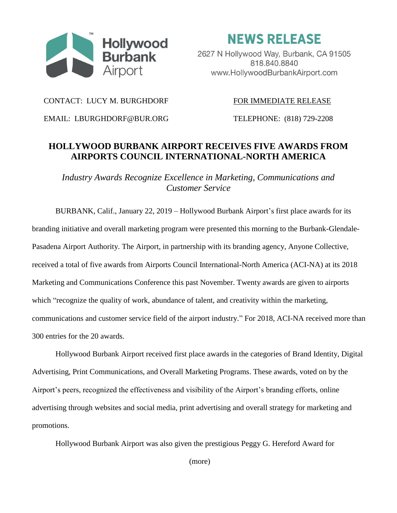

**NEWS RELEASE** 

2627 N Hollywood Way, Burbank, CA 91505 818.840.8840 www.HollywoodBurbankAirport.com

CONTACT: LUCY M. BURGHDORF FOR IMMEDIATE RELEASE

EMAIL: LBURGHDORF@BUR.ORG TELEPHONE: (818) 729-2208

## **HOLLYWOOD BURBANK AIRPORT RECEIVES FIVE AWARDS FROM AIRPORTS COUNCIL INTERNATIONAL-NORTH AMERICA**

*Industry Awards Recognize Excellence in Marketing, Communications and Customer Service*

BURBANK, Calif., January 22, 2019 – Hollywood Burbank Airport's first place awards for its branding initiative and overall marketing program were presented this morning to the Burbank-Glendale-Pasadena Airport Authority. The Airport, in partnership with its branding agency, Anyone Collective, received a total of five awards from Airports Council International-North America (ACI-NA) at its 2018 Marketing and Communications Conference this past November. Twenty awards are given to airports which "recognize the quality of work, abundance of talent, and creativity within the marketing, communications and customer service field of the airport industry." For 2018, ACI-NA received more than 300 entries for the 20 awards.

Hollywood Burbank Airport received first place awards in the categories of Brand Identity, Digital Advertising, Print Communications, and Overall Marketing Programs. These awards, voted on by the Airport's peers, recognized the effectiveness and visibility of the Airport's branding efforts, online advertising through websites and social media, print advertising and overall strategy for marketing and promotions.

Hollywood Burbank Airport was also given the prestigious Peggy G. Hereford Award for